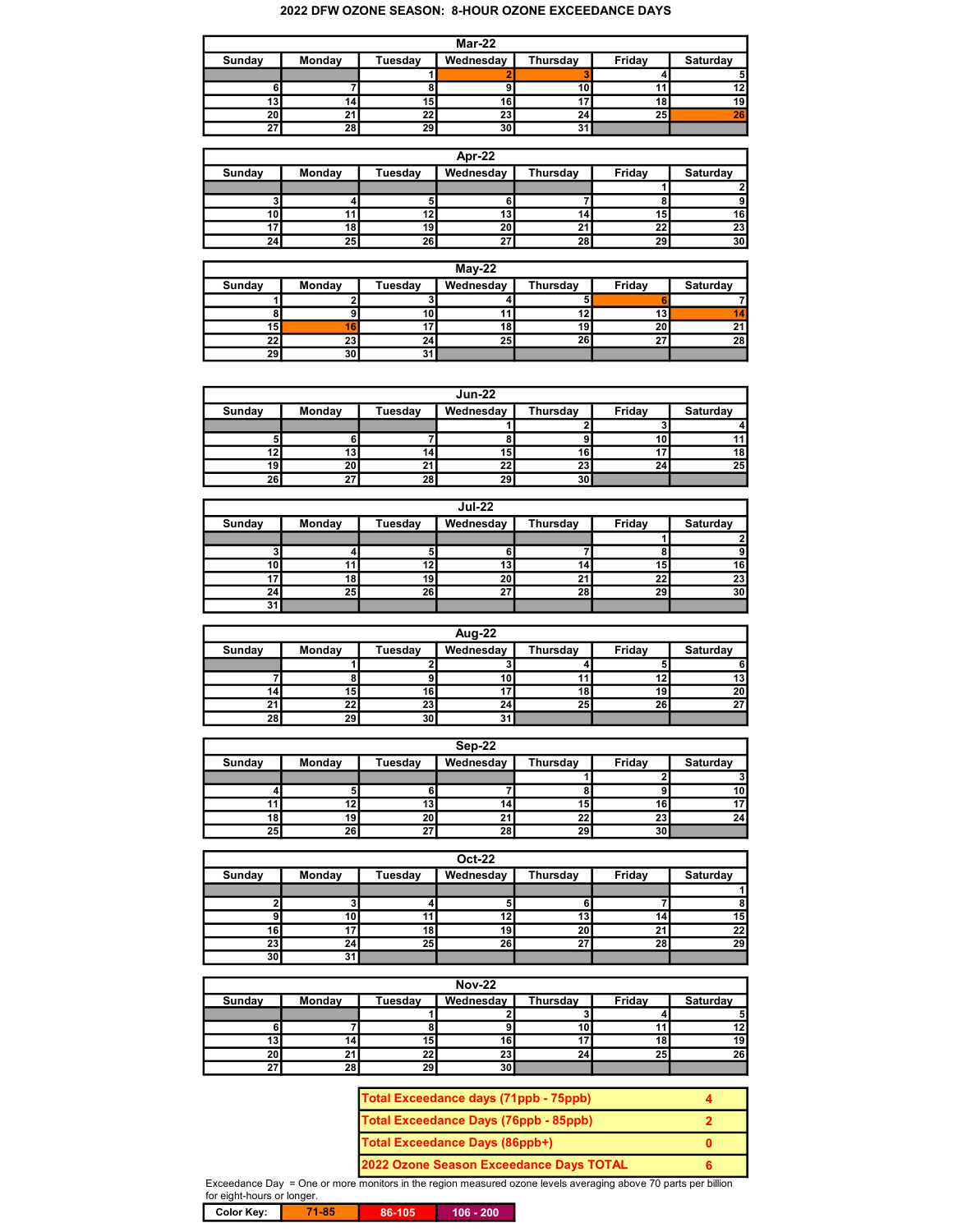## 2022 DFW OZONE SEASON: 8-HOUR OZONE EXCEEDANCE DAYS

| Mar-22          |        |                 |                 |                 |                 |                 |  |
|-----------------|--------|-----------------|-----------------|-----------------|-----------------|-----------------|--|
| Sunday          | Monday | Tuesday         | Wednesday       | Thursday        | Friday          | Saturday        |  |
|                 |        |                 |                 |                 |                 |                 |  |
|                 |        |                 |                 | 10              |                 | 12              |  |
| 13              | 141    | 15 <sub>1</sub> | 16              |                 | 18              | 19 <sup>1</sup> |  |
| 20 <sub>l</sub> |        | 22              | 23              | 24 <sub>l</sub> | 25 <sub>1</sub> | 26              |  |
| 27              | 28     | 29              | 30 <sub>1</sub> | 31              |                 |                 |  |

| Apr-22          |        |         |                 |                 |        |          |  |
|-----------------|--------|---------|-----------------|-----------------|--------|----------|--|
| Sunday          | Monday | Tuesday | Wednesday       | Thursday        | Friday | Saturday |  |
|                 |        |         |                 |                 |        |          |  |
|                 |        |         | 6               |                 |        |          |  |
| 10 <sub>h</sub> | 11     |         | 13 <sub>1</sub> | 14 <sub>1</sub> | 15     | 16       |  |
|                 | 18     | 19      | 20 <sub>l</sub> | 21              | 22     | 23       |  |
| 24 <sub>1</sub> | 25     | 26      | 27 <sub>1</sub> | 28              | 29     | 30       |  |

| $Mav-22$        |                 |                 |                 |          |                 |          |  |
|-----------------|-----------------|-----------------|-----------------|----------|-----------------|----------|--|
| Sunday          | Monday          | Tuesdav         | Wednesday       | Thursday | Friday          | Saturday |  |
|                 |                 |                 |                 |          |                 |          |  |
|                 |                 | 10 <sub>1</sub> |                 | 12       | 13              | 14       |  |
| 15 I            | 16 <sup>1</sup> |                 | 18              | 19       | 20 <sub>1</sub> | 21       |  |
| 22 <sub>1</sub> | 23              | 24              | 25 <sub>1</sub> | 26       | 27              | 28       |  |
| 29 <sub>l</sub> | 30              | 31              |                 |          |                 |          |  |

|        |                 |         | <b>Jun-22</b>   |                 |        |          |
|--------|-----------------|---------|-----------------|-----------------|--------|----------|
| Sunday | Monday          | Tuesday | Wednesday       | Thursday        | Friday | Saturday |
|        |                 |         |                 |                 |        |          |
| 51     |                 |         |                 |                 |        | 11       |
| 12     | 13              | 14      | 15              | 16              |        | 18       |
| 19 I   | 20 <sub>1</sub> | 21      | 22 <sub>1</sub> | 23              | 24     | 25       |
| 26     | 27              | 28      | 29 <sub>l</sub> | 30 <sub>0</sub> |        |          |

| <b>Jul-22</b> |        |         |                 |                 |        |                 |  |
|---------------|--------|---------|-----------------|-----------------|--------|-----------------|--|
| Sunday        | Monday | Tuesday | Wednesday       | Thursday        | Friday | Saturday        |  |
|               |        |         |                 |                 |        | ິ               |  |
|               |        |         |                 |                 |        | 9               |  |
| 10            | 11     | 12      | 13              | 14 <sub>1</sub> | 15     | 16              |  |
|               | 18     | 19      | 20 <sub>1</sub> | 21              | 22     | 23              |  |
| 24            | 25     | 26      | 27              | 28              | 29     | 30 <sup>1</sup> |  |
| 31            |        |         |                 |                 |        |                 |  |

| Aug-22 |        |                 |           |          |        |                 |  |
|--------|--------|-----------------|-----------|----------|--------|-----------------|--|
| Sunday | Monday | Tuesday         | Wednesday | Thursday | Friday | Saturday        |  |
|        |        |                 |           |          |        |                 |  |
|        |        |                 | 10        | 11       | 12     | 13              |  |
|        | 15     | 16              |           | 18       | 19     | 20 <sub>l</sub> |  |
|        | 22     | 23              | 24        | 25       | 26     | 27              |  |
| 28     | 29     | 30 <sup>2</sup> | 31        |          |        |                 |  |

|        | Sep-22          |                 |                      |          |        |                 |  |
|--------|-----------------|-----------------|----------------------|----------|--------|-----------------|--|
| Sunday | Monday          | Tuesday         | Wednesday            | Thursday | Friday | Saturday        |  |
|        |                 |                 |                      |          |        |                 |  |
|        |                 |                 |                      |          |        | 10 <sub>l</sub> |  |
|        | 121             | 13              | 141                  | 15       | 16     | 17              |  |
| 18 I   | 19              | 20 <sub>l</sub> | $\ddot{\phantom{0}}$ | 22       | 23     | 24 <sub>l</sub> |  |
| 25     | 26 <sub>l</sub> | ^7              | 28                   | 29       | 30     |                 |  |

| <b>Oct-22</b>   |        |         |           |                 |        |          |  |
|-----------------|--------|---------|-----------|-----------------|--------|----------|--|
| Sunday          | Monday | Tuesday | Wednesday | Thursday        | Friday | Saturday |  |
|                 |        |         |           |                 |        |          |  |
|                 |        |         | D.        |                 |        |          |  |
|                 | 10     |         | 12        | 13 <sub>l</sub> |        | 15       |  |
| 16              | 17     | 18      | 19        | 20 <sub>1</sub> |        | 22       |  |
| 23              | 24     | 25      | 26        | 27              | 28     | 29       |  |
| 30 <sub>1</sub> | 31     |         |           |                 |        |          |  |

| <b>Nov-22</b> |        |                |           |                 |        |          |  |
|---------------|--------|----------------|-----------|-----------------|--------|----------|--|
| Sunday        | Monday | <b>Tuesday</b> | Wednesday | Thursday        | Friday | Saturday |  |
|               |        |                |           |                 |        | 5        |  |
|               |        |                |           | 10 <sub>1</sub> |        | 12       |  |
| 13            | 14I    | 15             | 16        | 17              | 18     | 19       |  |
| 20 l          | 21     | 22             | 23        | 24              | 25     | 26       |  |
| 21            | 28     | 29             | 30        |                 |        |          |  |

| Total Exceedance days (71ppb - 75ppb)        |   |
|----------------------------------------------|---|
| <b>Total Exceedance Days (76ppb - 85ppb)</b> |   |
| <b>Total Exceedance Days (86ppb+)</b>        |   |
| 2022 Ozone Season Exceedance Days TOTAL      | к |

Exceedance Day = One or more monitors in the region measured ozone levels averaging above 70 parts per billion for eight-hours or longer.

Color Key: **71-85** 86-105 106 - 200